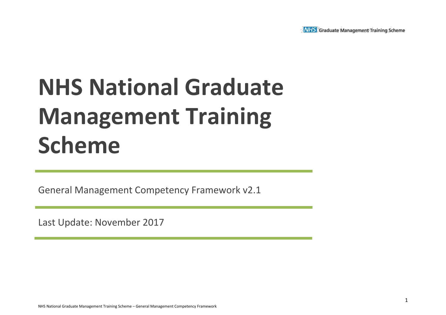

# **NHS National Graduate Management Training Scheme**

General Management Competency Framework v2.1

Last Update: November 2017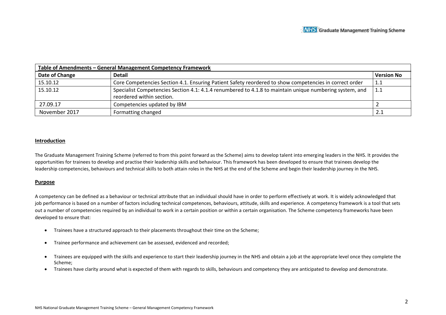| Table of Amendments - General Management Competency Framework |                                                                                                         |                   |  |  |  |  |  |
|---------------------------------------------------------------|---------------------------------------------------------------------------------------------------------|-------------------|--|--|--|--|--|
| Date of Change                                                | <b>Detail</b>                                                                                           | <b>Version No</b> |  |  |  |  |  |
| 15.10.12                                                      | Core Competencies Section 4.1. Ensuring Patient Safety reordered to show competencies in correct order  | 1.1               |  |  |  |  |  |
| 15.10.12                                                      | Specialist Competencies Section 4.1: 4.1.4 renumbered to 4.1.8 to maintain unique numbering system, and | 1.1               |  |  |  |  |  |
|                                                               | reordered within section.                                                                               |                   |  |  |  |  |  |
| 27.09.17                                                      | Competencies updated by IBM                                                                             |                   |  |  |  |  |  |
| November 2017                                                 | Formatting changed                                                                                      | 2.1               |  |  |  |  |  |

#### **Introduction**

The Graduate Management Training Scheme (referred to from this point forward as the Scheme) aims to develop talent into emerging leaders in the NHS. It provides the opportunities for trainees to develop and practise their leadership skills and behaviour. This framework has been developed to ensure that trainees develop the leadership competencies, behaviours and technical skills to both attain roles in the NHS at the end of the Scheme and begin their leadership journey in the NHS.

#### **Purpose**

A competency can be defined as a behaviour or technical attribute that an individual should have in order to perform effectively at work. It is widely acknowledged that job performance is based on a number of factors including technical competences, behaviours, attitude, skills and experience. A competency framework is a tool that sets out a number of competencies required by an individual to work in a certain position or within a certain organisation. The Scheme competency frameworks have been developed to ensure that:

- Trainees have a structured approach to their placements throughout their time on the Scheme;
- Trainee performance and achievement can be assessed, evidenced and recorded;
- Trainees are equipped with the skills and experience to start their leadership journey in the NHS and obtain a job at the appropriate level once they complete the Scheme;
- Trainees have clarity around what is expected of them with regards to skills, behaviours and competency they are anticipated to develop and demonstrate.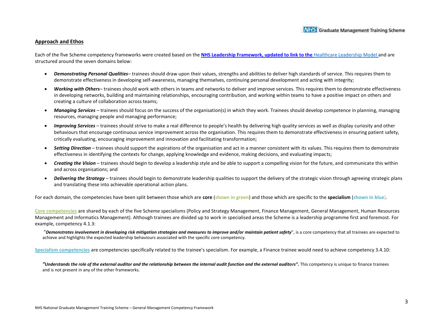#### **Approach and Ethos**

Each of the five Scheme competency frameworks were created based on the **NHS Leadership Framework, updated to link to the** [Healthcare Leadership Model](https://www.leadershipacademy.nhs.uk/resources/healthcare-leadership-model/) and are structured around the seven domains below:

- *Demonstrating Personal Qualities* trainees should draw upon their values, strengths and abilities to deliver high standards of service. This requires them to demonstrate effectiveness in developing self-awareness, managing themselves, continuing personal development and acting with integrity;
- *Working with Others* trainees should work with others in teams and networks to deliver and improve services. This requires them to demonstrate effectiveness in developing networks, building and maintaining relationships, encouraging contribution, and working within teams to have a positive impact on others and creating a culture of collaboration across teams;
- *Managing Services*  trainees should focus on the success of the organisation(s) in which they work. Trainees should develop competence in planning, managing resources, managing people and managing performance;
- *Improving Services*  trainees should strive to make a real difference to people's health by delivering high quality services as well as display curiosity and other behaviours that encourage continuous service improvement across the organisation. This requires them to demonstrate effectiveness in ensuring patient safety, critically evaluating, encouraging improvement and innovation and facilitating transformation;
- *Setting Direction*  trainees should support the aspirations of the organisation and act in a manner consistent with its values. This requires them to demonstrate effectiveness in identifying the contexts for change, applying knowledge and evidence, making decisions, and evaluating impacts;
- *Creating the Vision*  trainees should begin to develop a leadership style and be able to support a compelling vision for the future, and communicate this within and across organisations; and
- *Delivering the Strategy*  trainees should begin to demonstrate leadership qualities to support the delivery of the strategic vision through agreeing strategic plans and translating these into achievable operational action plans.

For each domain, the competencies have been split between those which are **core** (**shown in green**) and those which are specific to the **specialism** (**shown in blue**).

**Core competencies** are shared by each of the five Scheme specialisms (Policy and Strategy Management, Finance Management, General Management, Human Resources Management and Informatics Management). Although trainees are divided up to work in specialised areas the Scheme is a leadership programme first and foremost. For example, competency 4.1.3:

"*Demonstrates involvement in developing risk mitigation strategies and measures to improve and/or maintain patient safety*", is a core competency that all trainees are expected to achieve and highlights the expected leadership behaviours associated with the specific core competency.

**Specialism competencies** are competencies specifically related to the trainee's specialism. For example, a Finance trainee would need to achieve competency 3.4.10:

"Understands the role of the external auditor and the relationship between the internal audit function and the external auditors". This competency is unique to finance trainees and is not present in any of the other frameworks.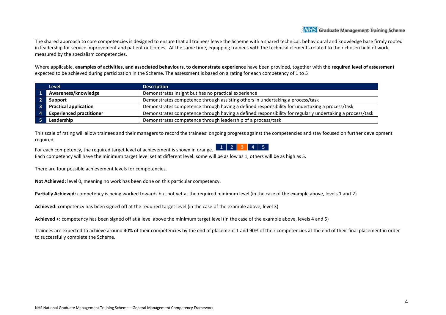The shared approach to core competencies is designed to ensure that all trainees leave the Scheme with a shared technical, behavioural and knowledge base firmly rooted in leadership for service improvement and patient outcomes. At the same time, equipping trainees with the technical elements related to their chosen field of work, measured by the specialism competencies.

Where applicable, **examples of activities, and associated behaviours, to demonstrate experience** have been provided, together with the **required level of assessment** expected to be achieved during participation in the Scheme. The assessment is based on a rating for each competency of 1 to 5:

| <b>Level</b>                    | <b>Description</b>                                                                                       |
|---------------------------------|----------------------------------------------------------------------------------------------------------|
| Awareness/knowledge             | Demonstrates insight but has no practical experience                                                     |
| Support                         | Demonstrates competence through assisting others in undertaking a process/task                           |
| <b>Practical application</b>    | Demonstrates competence through having a defined responsibility for undertaking a process/task           |
| <b>Experienced practitioner</b> | Demonstrates competence through having a defined responsibility for regularly undertaking a process/task |
| Leadership                      | Demonstrates competence through leadership of a process/task                                             |

This scale of rating will allow trainees and their managers to record the trainees' ongoing progress against the competencies and stay focused on further development required.

For each competency, the required target level of achievement is shown in orange. Each competency will have the minimum target level set at different level: some will be as low as 1, others will be as high as 5.

There are four possible achievement levels for competencies.

**Not Achieved:** level 0, meaning no work has been done on this particular competency.

**Partially Achieved:** competency is being worked towards but not yet at the required minimum level (in the case of the example above, levels 1 and 2)

**Achieved:** competency has been signed off at the required target level (in the case of the example above, level 3)

**Achieved +:** competency has been signed off at a level above the minimum target level (in the case of the example above, levels 4 and 5)

Trainees are expected to achieve around 40% of their competencies by the end of placement 1 and 90% of their competencies at the end of their final placement in order to successfully complete the Scheme.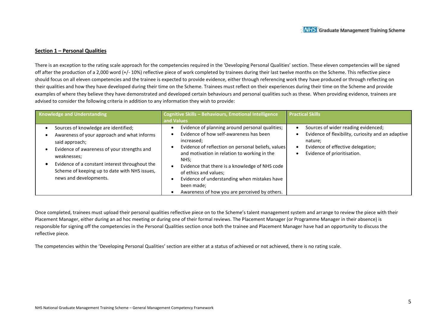#### **Section 1 – Personal Qualities**

There is an exception to the rating scale approach for the competencies required in the 'Developing Personal Qualities' section. These eleven competencies will be signed off after the production of a 2,000 word (+/- 10%) reflective piece of work completed by trainees during their last twelve months on the Scheme. This reflective piece should focus on all eleven competencies and the trainee is expected to provide evidence, either through referencing work they have produced or through reflecting on their qualities and how they have developed during their time on the Scheme. Trainees must reflect on their experiences during their time on the Scheme and provide examples of where they believe they have demonstrated and developed certain behaviours and personal qualities such as these. When providing evidence, trainees are advised to consider the following criteria in addition to any information they wish to provide:

| Knowledge and Understanding                                                                                                                                                                                                                                                                      | Cognitive Skills - Behaviours, Emotional Intelligence<br>and Values                                                                                                                                                                                                                                                                                                                                              | <b>Practical Skills</b>                                                                                                                                                  |  |
|--------------------------------------------------------------------------------------------------------------------------------------------------------------------------------------------------------------------------------------------------------------------------------------------------|------------------------------------------------------------------------------------------------------------------------------------------------------------------------------------------------------------------------------------------------------------------------------------------------------------------------------------------------------------------------------------------------------------------|--------------------------------------------------------------------------------------------------------------------------------------------------------------------------|--|
| Sources of knowledge are identified;<br>Awareness of your approach and what informs<br>said approach;<br>Evidence of awareness of your strengths and<br>weaknesses;<br>Evidence of a constant interest throughout the<br>Scheme of keeping up to date with NHS issues,<br>news and developments. | Evidence of planning around personal qualities;<br>Evidence of how self-awareness has been<br>increased;<br>Evidence of reflection on personal beliefs, values<br>and motivation in relation to working in the<br>NHS:<br>Evidence that there is a knowledge of NHS code<br>of ethics and values;<br>Evidence of understanding when mistakes have<br>been made;<br>Awareness of how you are perceived by others. | Sources of wider reading evidenced;<br>Evidence of flexibility, curiosity and an adaptive<br>nature;<br>Evidence of effective delegation;<br>Evidence of prioritisation. |  |

Once completed, trainees must upload their personal qualities reflective piece on to the Scheme's talent management system and arrange to review the piece with their Placement Manager, either during an ad hoc meeting or during one of their formal reviews. The Placement Manager (or Programme Manager in their absence) is responsible for signing off the competencies in the Personal Qualities section once both the trainee and Placement Manager have had an opportunity to discuss the reflective piece.

The competencies within the 'Developing Personal Qualities' section are either at a status of achieved or not achieved, there is no rating scale.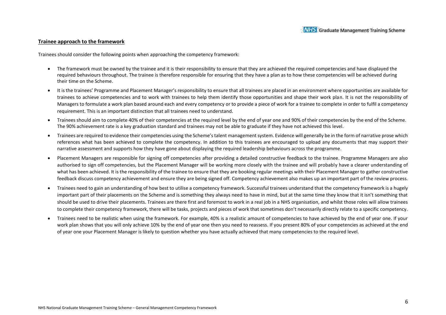#### **Trainee approach to the framework**

Trainees should consider the following points when approaching the competency framework:

- The framework must be owned by the trainee and it is their responsibility to ensure that they are achieved the required competencies and have displayed the required behaviours throughout. The trainee is therefore responsible for ensuring that they have a plan as to how these competencies will be achieved during their time on the Scheme.
- It is the trainees' Programme and Placement Manager's responsibility to ensure that all trainees are placed in an environment where opportunities are available for trainees to achieve competencies and to work with trainees to help them identify those opportunities and shape their work plan. It is not the responsibility of Managers to formulate a work plan based around each and every competency or to provide a piece of work for a trainee to complete in order to fulfil a competency requirement. This is an important distinction that all trainees need to understand.
- Trainees should aim to complete 40% of their competencies at the required level by the end of year one and 90% of their competencies by the end of the Scheme. The 90% achievement rate is a key graduation standard and trainees may not be able to graduate if they have not achieved this level.
- Trainees are required to evidence their competencies using the Scheme's talent management system. Evidence will generally be in the form of narrative prose which references what has been achieved to complete the competency. In addition to this trainees are encouraged to upload any documents that may support their narrative assessment and supports how they have gone about displaying the required leadership behaviours across the programme.
- Placement Managers are responsible for signing off competencies after providing a detailed constructive feedback to the trainee. Programme Managers are also authorised to sign off competencies, but the Placement Manager will be working more closely with the trainee and will probably have a clearer understanding of what has been achieved. It is the responsibility of the trainee to ensure that they are booking regular meetings with their Placement Manager to gather constructive feedback discuss competency achievement and ensure they are being signed off. Competency achievement also makes up an important part of the review process.
- Trainees need to gain an understanding of how best to utilise a competency framework. Successful trainees understand that the competency framework is a hugely important part of their placements on the Scheme and is something they always need to have in mind, but at the same time they know that it isn't something that should be used to drive their placements. Trainees are there first and foremost to work in a real job in a NHS organisation, and whilst those roles will allow trainees to complete their competency framework, there will be tasks, projects and pieces of work that sometimes don't necessarily directly relate to a specific competency.
- Trainees need to be realistic when using the framework. For example, 40% is a realistic amount of competencies to have achieved by the end of year one. If your work plan shows that you will only achieve 10% by the end of year one then you need to reassess. If you present 80% of your competencies as achieved at the end of year one your Placement Manager is likely to question whether you have actually achieved that many competencies to the required level.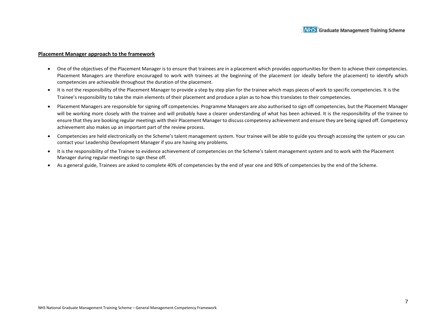#### **Placement Manager approach to the framework**

- One of the objectives of the Placement Manager is to ensure that trainees are in a placement which provides opportunities for them to achieve their competencies. Placement Managers are therefore encouraged to work with trainees at the beginning of the placement (or ideally before the placement) to identify which competencies are achievable throughout the duration of the placement.
- It is *not* the responsibility of the Placement Manager to provide a step by step plan for the trainee which maps pieces of work to specific competencies. It is the Trainee's responsibility to take the main elements of their placement and produce a plan as to how this translates to their competencies.
- Placement Managers are responsible for signing off competencies. Programme Managers are also authorised to sign off competencies, but the Placement Manager will be working more closely with the trainee and will probably have a clearer understanding of what has been achieved. It is the responsibility of the trainee to ensure that they are booking regular meetings with their Placement Manager to discuss competency achievement and ensure they are being signed off. Competency achievement also makes up an important part of the review process.
- Competencies are held electronically on the Scheme's talent management system. Your trainee will be able to guide you through accessing the system or you can contact your Leadership Development Manager if you are having any problems.
- It is the responsibility of the Trainee to evidence achievement of competencies on the Scheme's talent management system and to work with the Placement Manager during regular meetings to sign these off.
- As a general guide, Trainees are asked to complete 40% of competencies by the end of year one and 90% of competencies by the end of the Scheme.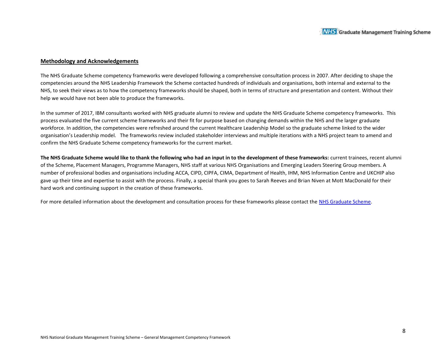#### **Methodology and Acknowledgements**

The NHS Graduate Scheme competency frameworks were developed following a comprehensive consultation process in 2007. After deciding to shape the competencies around the NHS Leadership Framework the Scheme contacted hundreds of individuals and organisations, both internal and external to the NHS, to seek their views as to how the competency frameworks should be shaped, both in terms of structure and presentation and content. Without their help we would have not been able to produce the frameworks.

In the summer of 2017, IBM consultants worked with NHS graduate alumni to review and update the NHS Graduate Scheme competency frameworks. This process evaluated the five current scheme frameworks and their fit for purpose based on changing demands within the NHS and the larger graduate workforce. In addition, the competencies were refreshed around the current Healthcare Leadership Model so the graduate scheme linked to the wider organisation's Leadership model. The frameworks review included stakeholder interviews and multiple iterations with a NHS project team to amend and confirm the NHS Graduate Scheme competency frameworks for the current market.

**The NHS Graduate Scheme would like to thank the following who had an input in to the development of these frameworks:** current trainees, recent alumni of the Scheme, Placement Managers, Programme Managers, NHS staff at various NHS Organisations and Emerging Leaders Steering Group members. A number of professional bodies and organisations including ACCA, CIPD, CIPFA, CIMA, Department of Health, IHM, NHS Information Centre and UKCHIP also gave up their time and expertise to assist with the process. Finally, a special thank you goes to Sarah Reeves and Brian Niven at Mott MacDonald for their hard work and continuing support in the creation of these frameworks.

For more detailed information about the development and consultation process for these frameworks please contact the NHS Graduate Scheme.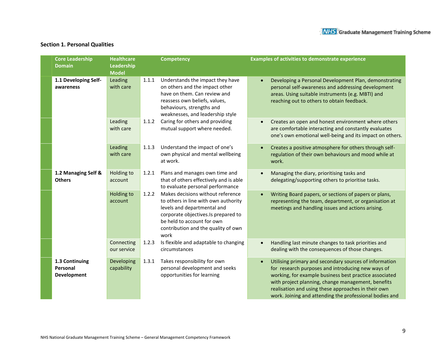## **Section 1. Personal Qualities**

| <b>Core Leadership</b><br><b>Domain</b>          | <b>Healthcare</b><br>Leadership<br><b>Model</b> |       | <b>Competency</b>                                                                                                                                                                                                            | <b>Examples of activities to demonstrate experience</b>                                                                                                                                                                                                                                                                                       |
|--------------------------------------------------|-------------------------------------------------|-------|------------------------------------------------------------------------------------------------------------------------------------------------------------------------------------------------------------------------------|-----------------------------------------------------------------------------------------------------------------------------------------------------------------------------------------------------------------------------------------------------------------------------------------------------------------------------------------------|
| 1.1 Developing Self-<br>awareness                | Leading<br>with care                            | 1.1.1 | Understands the impact they have<br>on others and the impact other<br>have on them. Can review and<br>reassess own beliefs, values,<br>behaviours, strengths and<br>weaknesses, and leadership style                         | Developing a Personal Development Plan, demonstrating<br>personal self-awareness and addressing development<br>areas. Using suitable instruments (e.g. MBTI) and<br>reaching out to others to obtain feedback.                                                                                                                                |
|                                                  | Leading<br>with care                            | 1.1.2 | Caring for others and providing<br>mutual support where needed.                                                                                                                                                              | Creates an open and honest environment where others<br>are comfortable interacting and constantly evaluates<br>one's own emotional well-being and its impact on others.                                                                                                                                                                       |
|                                                  | Leading<br>with care                            | 1.1.3 | Understand the impact of one's<br>own physical and mental wellbeing<br>at work.                                                                                                                                              | Creates a positive atmosphere for others through self-<br>regulation of their own behaviours and mood while at<br>work.                                                                                                                                                                                                                       |
| 1.2 Managing Self &<br><b>Others</b>             | Holding to<br>account                           | 1.2.1 | Plans and manages own time and<br>that of others effectively and is able<br>to evaluate personal performance                                                                                                                 | Managing the diary, prioritising tasks and<br>delegating/supporting others to prioritise tasks.                                                                                                                                                                                                                                               |
|                                                  | Holding to<br>account                           | 1.2.2 | Makes decisions without reference<br>to others in line with own authority<br>levels and departmental and<br>corporate objectives.Is prepared to<br>be held to account for own<br>contribution and the quality of own<br>work | Writing Board papers, or sections of papers or plans,<br>representing the team, department, or organisation at<br>meetings and handling issues and actions arising.                                                                                                                                                                           |
|                                                  | Connecting<br>our service                       | 1.2.3 | Is flexible and adaptable to changing<br>circumstances                                                                                                                                                                       | Handling last minute changes to task priorities and<br>dealing with the consequences of those changes.                                                                                                                                                                                                                                        |
| 1.3 Continuing<br>Personal<br><b>Development</b> | Developing<br>capability                        | 1.3.1 | Takes responsibility for own<br>personal development and seeks<br>opportunities for learning                                                                                                                                 | Utilising primary and secondary sources of information<br>for research purposes and introducing new ways of<br>working, for example business best practice associated<br>with project planning, change management, benefits<br>realisation and using these approaches in their own<br>work. Joining and attending the professional bodies and |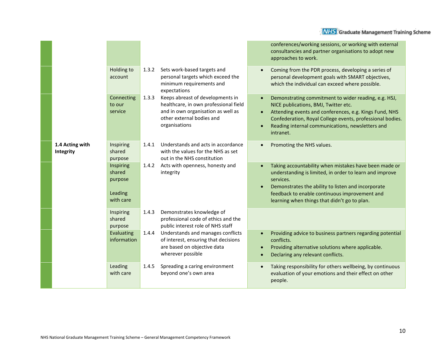|                              |                                                        |       |                                                                                                                                                                                                                                                     |  | conferences/working sessions, or working with external<br>consultancies and partner organisations to adopt new<br>approaches to work.                                                                                                                                                |
|------------------------------|--------------------------------------------------------|-------|-----------------------------------------------------------------------------------------------------------------------------------------------------------------------------------------------------------------------------------------------------|--|--------------------------------------------------------------------------------------------------------------------------------------------------------------------------------------------------------------------------------------------------------------------------------------|
|                              | <b>Holding to</b><br>account                           | 1.3.2 | Sets work-based targets and<br>personal targets which exceed the<br>minimum requirements and<br>expectations                                                                                                                                        |  | Coming from the PDR process, developing a series of<br>personal development goals with SMART objectives,<br>which the individual can exceed where possible.                                                                                                                          |
|                              | Connecting<br>to our<br>service                        | 1.3.3 | Keeps abreast of developments in<br>healthcare, in own professional field<br>and in own organisation as well as<br>other external bodies and<br>organisations                                                                                       |  | Demonstrating commitment to wider reading, e.g. HSJ,<br>NICE publications, BMJ, Twitter etc.<br>Attending events and conferences, e.g. Kings Fund, NHS<br>Confederation, Royal College events, professional bodies.<br>Reading internal communications, newsletters and<br>intranet. |
| 1.4 Acting with<br>Integrity | Inspiring<br>shared<br>purpose                         | 1.4.1 | Understands and acts in accordance<br>with the values for the NHS as set<br>out in the NHS constitution                                                                                                                                             |  | Promoting the NHS values.                                                                                                                                                                                                                                                            |
|                              | Inspiring<br>shared<br>purpose<br>Leading<br>with care | 1.4.2 | Acts with openness, honesty and<br>integrity                                                                                                                                                                                                        |  | Taking accountability when mistakes have been made or<br>understanding is limited, in order to learn and improve<br>services.<br>Demonstrates the ability to listen and incorporate<br>feedback to enable continuous improvement and<br>learning when things that didn't go to plan. |
|                              | Inspiring<br>shared<br>purpose                         | 1.4.3 | Demonstrates knowledge of<br>professional code of ethics and the<br>public interest role of NHS staff<br>Understands and manages conflicts<br>of interest, ensuring that decisions<br>are based on objective data<br>$\bullet$<br>wherever possible |  |                                                                                                                                                                                                                                                                                      |
|                              | Evaluating<br>information                              | 1.4.4 |                                                                                                                                                                                                                                                     |  | Providing advice to business partners regarding potential<br>conflicts.<br>Providing alternative solutions where applicable.<br>Declaring any relevant conflicts.                                                                                                                    |
|                              | Leading<br>with care                                   | 1.4.5 | Spreading a caring environment<br>beyond one's own area                                                                                                                                                                                             |  | Taking responsibility for others wellbeing, by continuous<br>evaluation of your emotions and their effect on other<br>people.                                                                                                                                                        |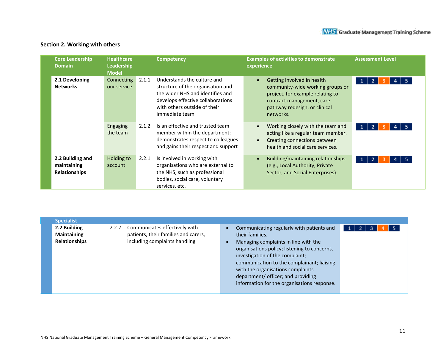## **Section 2. Working with others**

| <b>Core Leadership</b><br><b>Domain</b>                 | <b>Healthcare</b><br>Leadership<br><b>Model</b> |       | <b>Competency</b>                                                                                                                                                                           | <b>Examples of activities to demonstrate</b><br>experience                                                                                                                    | <b>Assessment Level</b>                           |
|---------------------------------------------------------|-------------------------------------------------|-------|---------------------------------------------------------------------------------------------------------------------------------------------------------------------------------------------|-------------------------------------------------------------------------------------------------------------------------------------------------------------------------------|---------------------------------------------------|
| 2.1 Developing<br><b>Networks</b>                       | Connecting<br>our service                       | 2.1.1 | Understands the culture and<br>structure of the organisation and<br>the wider NHS and identifies and<br>develops effective collaborations<br>with others outside of their<br>immediate team | Getting involved in health<br>community-wide working groups or<br>project, for example relating to<br>contract management, care<br>pathway redesign, or clinical<br>networks. | $\vert 1 \vert$<br>$\overline{2}$<br>5.<br>4<br>з |
|                                                         | Engaging<br>the team                            | 2.1.2 | Is an effective and trusted team<br>member within the department;<br>demonstrates respect to colleagues<br>and gains their respect and support                                              | Working closely with the team and<br>acting like a regular team member.<br>Creating connections between<br>health and social care services.                                   | $\overline{2}$<br>$\vert$ 1                       |
| 2.2 Building and<br>maintaining<br><b>Relationships</b> | Holding to<br>account                           | 2.2.1 | Is involved in working with<br>organisations who are external to<br>the NHS, such as professional<br>bodies, social care, voluntary<br>services, etc.                                       | Building/maintaining relationships<br>(e.g., Local Authority, Private<br>Sector, and Social Enterprises).                                                                     | $\vert 1 \vert$<br>$\overline{2}$                 |

| <b>Specialist</b>                                          |       |                                                                                                        |                                                                                                                                                                                                                                                                                                                                                                 |    |  |     |
|------------------------------------------------------------|-------|--------------------------------------------------------------------------------------------------------|-----------------------------------------------------------------------------------------------------------------------------------------------------------------------------------------------------------------------------------------------------------------------------------------------------------------------------------------------------------------|----|--|-----|
| 2.2 Building<br><b>Maintaining</b><br><b>Relationships</b> | 2.2.2 | Communicates effectively with<br>patients, their families and carers,<br>including complaints handling | Communicating regularly with patients and<br>their families.<br>Managing complaints in line with the<br>organisations policy; listening to concerns,<br>investigation of the complaint;<br>communication to the complainant; liaising<br>with the organisations complaints<br>department/ officer; and providing<br>information for the organisations response. | -2 |  | - 5 |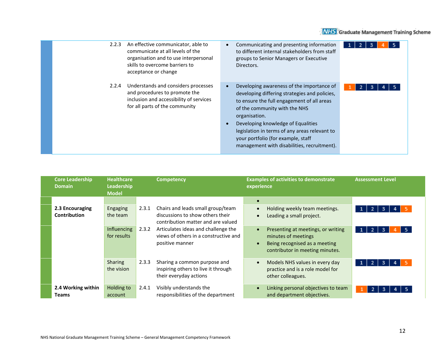

| 2.2.3 | An effective communicator, able to<br>communicate at all levels of the<br>organisation and to use interpersonal<br>skills to overcome barriers to<br>acceptance or change | Communicating and presenting information<br>to different internal stakeholders from staff<br>groups to Senior Managers or Executive<br>Directors.                                                                                                                                                                                                                      | з<br>5 |
|-------|---------------------------------------------------------------------------------------------------------------------------------------------------------------------------|------------------------------------------------------------------------------------------------------------------------------------------------------------------------------------------------------------------------------------------------------------------------------------------------------------------------------------------------------------------------|--------|
| 2.2.4 | Understands and considers processes<br>and procedures to promote the<br>inclusion and accessibility of services<br>for all parts of the community                         | Developing awareness of the importance of<br>developing differing strategies and policies,<br>to ensure the full engagement of all areas<br>of the community with the NHS<br>organisation.<br>Developing knowledge of Equalities<br>legislation in terms of any areas relevant to<br>your portfolio (for example, staff<br>management with disabilities, recruitment). | 3      |

| <b>Core Leadership</b><br><b>Domain</b> | <b>Healthcare</b><br>Leadership<br><b>Model</b> |       | <b>Competency</b>                                                                                           | <b>Examples of activities to demonstrate</b><br><b>Assessment Level</b><br>experience                                                                                                                   |  |
|-----------------------------------------|-------------------------------------------------|-------|-------------------------------------------------------------------------------------------------------------|---------------------------------------------------------------------------------------------------------------------------------------------------------------------------------------------------------|--|
|                                         |                                                 |       |                                                                                                             | $\bullet$                                                                                                                                                                                               |  |
| 2.3 Encouraging<br><b>Contribution</b>  | Engaging<br>the team                            | 2.3.1 | Chairs and leads small group/team<br>discussions to show others their<br>contribution matter and are valued | Holding weekly team meetings.<br>$\overline{2}$<br>5.<br>3<br>1 <sup>1</sup><br>4<br>$\bullet$<br>Leading a small project.<br>$\bullet$                                                                 |  |
|                                         | Influencing<br>for results                      | 2.3.2 | Articulates ideas and challenge the<br>views of others in a constructive and<br>positive manner             | Presenting at meetings, or writing<br>-5.<br>$\overline{2}$<br>1 <sup>1</sup><br>3<br>$\bullet$<br>minutes of meetings<br>Being recognised as a meeting<br>$\bullet$<br>contributor in meeting minutes. |  |
|                                         | Sharing<br>the vision                           | 2.3.3 | Sharing a common purpose and<br>inspiring others to live it through<br>their everyday actions               | Models NHS values in every day<br>$\overline{2}$<br>3<br>1 <br>$\bullet$<br>4<br>practice and is a role model for<br>other colleagues.                                                                  |  |
| 2.4 Working within<br><b>Teams</b>      | Holding to<br>account                           | 2.4.1 | Visibly understands the<br>responsibilities of the department                                               | Linking personal objectives to team<br>$\bullet$<br>-2<br>3<br>and department objectives.                                                                                                               |  |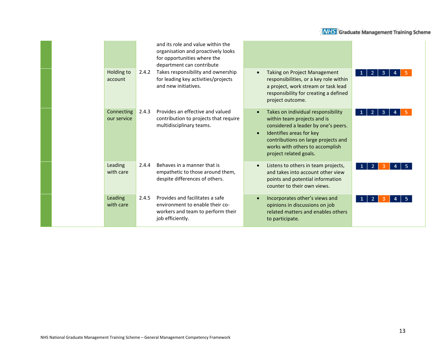|                           |       | and its role and value within the<br>organisation and proactively looks<br>for opportunities where the<br>department can contribute |                                                                                                                                                                                                                                                                    |        |
|---------------------------|-------|-------------------------------------------------------------------------------------------------------------------------------------|--------------------------------------------------------------------------------------------------------------------------------------------------------------------------------------------------------------------------------------------------------------------|--------|
| Holding to<br>account     | 2.4.2 | Takes responsibility and ownership<br>for leading key activities/projects<br>and new initiatives.                                   | <b>Taking on Project Management</b><br>$\bullet$<br>responsibilities, or a key role within<br>a project, work stream or task lead<br>responsibility for creating a defined<br>project outcome.                                                                     | 2<br>3 |
| Connecting<br>our service | 2.4.3 | Provides an effective and valued<br>contribution to projects that require<br>multidisciplinary teams.                               | Takes on individual responsibility<br>$\bullet$<br>within team projects and is<br>considered a leader by one's peers.<br>Identifies areas for key<br>$\bullet$<br>contributions on large projects and<br>works with others to accomplish<br>project related goals. | з      |
| Leading<br>with care      | 2.4.4 | Behaves in a manner that is<br>empathetic to those around them,<br>despite differences of others.                                   | Listens to others in team projects,<br>$\bullet$<br>and takes into account other view<br>points and potential information<br>counter to their own views.                                                                                                           |        |
| Leading<br>with care      | 2.4.5 | Provides and facilitates a safe<br>environment to enable their co-<br>workers and team to perform their<br>job efficiently.         | Incorporates other's views and<br>$\bullet$<br>opinions in discussions on job<br>related matters and enables others<br>to participate.                                                                                                                             |        |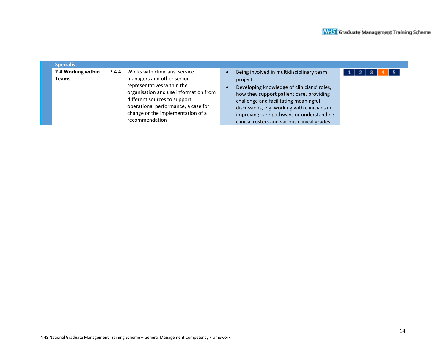| <b>Specialist</b>           |                                                                                                                                                                                                                                                                           |                                                                                                                                                                                                                                                                                                                                      |  |
|-----------------------------|---------------------------------------------------------------------------------------------------------------------------------------------------------------------------------------------------------------------------------------------------------------------------|--------------------------------------------------------------------------------------------------------------------------------------------------------------------------------------------------------------------------------------------------------------------------------------------------------------------------------------|--|
| 2.4 Working within<br>Teams | Works with clinicians, service<br>2.4.4<br>managers and other senior<br>representatives within the<br>organisation and use information from<br>different sources to support<br>operational performance, a case for<br>change or the implementation of a<br>recommendation | Being involved in multidisciplinary team<br>project.<br>Developing knowledge of clinicians' roles,<br>how they support patient care, providing<br>challenge and facilitating meaningful<br>discussions, e.g. working with clinicians in<br>improving care pathways or understanding<br>clinical rosters and various clinical grades. |  |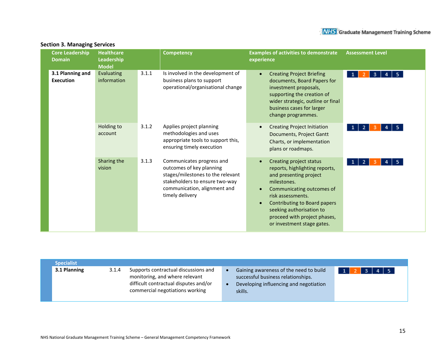| <b>Core Leadership</b><br><b>Domain</b> | <b>Healthcare</b><br>Leadership<br><b>Model</b> |       | <b>Competency</b>                                                                                                                                                               | <b>Examples of activities to demonstrate</b><br>experience                                                                                                                                                                                                                            | <b>Assessment Level</b>   |
|-----------------------------------------|-------------------------------------------------|-------|---------------------------------------------------------------------------------------------------------------------------------------------------------------------------------|---------------------------------------------------------------------------------------------------------------------------------------------------------------------------------------------------------------------------------------------------------------------------------------|---------------------------|
| 3.1 Planning and<br><b>Execution</b>    | Evaluating<br>information                       | 3.1.1 | Is involved in the development of<br>business plans to support<br>operational/organisational change                                                                             | <b>Creating Project Briefing</b><br>$\bullet$<br>documents, Board Papers for<br>investment proposals,<br>supporting the creation of<br>wider strategic, outline or final<br>business cases for larger<br>change programmes.                                                           | -5.<br>3<br>1             |
|                                         | Holding to<br>account                           | 3.1.2 | Applies project planning<br>methodologies and uses<br>appropriate tools to support this,<br>ensuring timely execution                                                           | <b>Creating Project Initiation</b><br>Documents, Project Gantt<br>Charts, or implementation<br>plans or roadmaps.                                                                                                                                                                     | 5.                        |
|                                         | Sharing the<br>vision                           | 3.1.3 | Communicates progress and<br>outcomes of key planning<br>stages/milestones to the relevant<br>stakeholders to ensure two-way<br>communication, alignment and<br>timely delivery | <b>Creating project status</b><br>reports, highlighting reports,<br>and presenting project<br>milestones.<br>Communicating outcomes of<br>risk assessments.<br>Contributing to Board papers<br>seeking authorisation to<br>proceed with project phases,<br>or investment stage gates. | 5.<br>$\overline{2}$<br>1 |

#### **Section 3. Managing Services**

| <b>Specialist</b> |       |                                                                                                                                                    |                                                                                                                                   |                          |
|-------------------|-------|----------------------------------------------------------------------------------------------------------------------------------------------------|-----------------------------------------------------------------------------------------------------------------------------------|--------------------------|
| 3.1 Planning      | 3.1.4 | Supports contractual discussions and<br>monitoring, and where relevant<br>difficult contractual disputes and/or<br>commercial negotiations working | Gaining awareness of the need to build<br>successful business relationships.<br>Developing influencing and negotiation<br>skills. | $4 \mid 5$<br><b>2</b> L |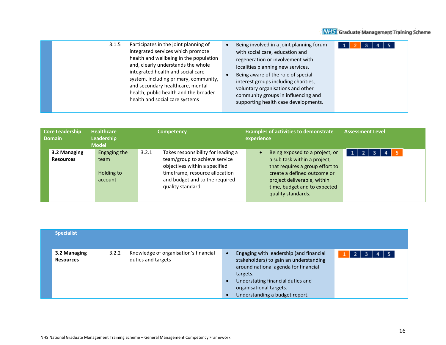

| 3.1.5 | Participates in the joint planning of  | $\bullet$ | Being involved in a joint planning forum | 4 5<br>$\mathbf{3}$ |
|-------|----------------------------------------|-----------|------------------------------------------|---------------------|
|       | integrated services which promote      |           | with social care, education and          |                     |
|       | health and wellbeing in the population |           | regeneration or involvement with         |                     |
|       | and, clearly understands the whole     |           | localities planning new services.        |                     |
|       | integrated health and social care      |           | Being aware of the role of special       |                     |
|       | system, including primary, community,  |           | interest groups including charities,     |                     |
|       | and secondary healthcare, mental       |           | voluntary organisations and other        |                     |
|       | health, public health and the broader  |           | community groups in influencing and      |                     |
|       | health and social care systems         |           | supporting health case developments.     |                     |

| Core Leadership<br><b>Domain</b> | <b>Healthcare</b><br>Leadership<br><b>Model</b> | <b>Competency</b>                           | <b>Examples of activities to demonstrate</b><br>experience | <b>Assessment Level</b> |
|----------------------------------|-------------------------------------------------|---------------------------------------------|------------------------------------------------------------|-------------------------|
| 3.2 Managing                     | Engaging the                                    | 3.2.1<br>Takes responsibility for leading a | Being exposed to a project, or<br>$\bullet$                | 5<br>$1$   2  <br>4     |
| <b>Resources</b>                 | team                                            | team/group to achieve service               | a sub task within a project,                               |                         |
|                                  |                                                 | objectives within a specified               | that requires a group effort to                            |                         |
|                                  | Holding to                                      | timeframe, resource allocation              | create a defined outcome or                                |                         |
|                                  | account                                         | and budget and to the required              | project deliverable, within                                |                         |
|                                  |                                                 | quality standard                            | time, budget and to expected                               |                         |
|                                  |                                                 |                                             | quality standards.                                         |                         |
|                                  |                                                 |                                             |                                                            |                         |

| <b>Specialist</b>                |       |                                                             |                                     |                                                                                                                                                                                                                                         |      |     |     |  |
|----------------------------------|-------|-------------------------------------------------------------|-------------------------------------|-----------------------------------------------------------------------------------------------------------------------------------------------------------------------------------------------------------------------------------------|------|-----|-----|--|
| 3.2 Managing<br><b>Resources</b> | 3.2.2 | Knowledge of organisation's financial<br>duties and targets | $\bullet$<br>$\bullet$<br>$\bullet$ | Engaging with leadership (and financial<br>stakeholders) to gain an understanding<br>around national agenda for financial<br>targets.<br>Understating financial duties and<br>organisational targets.<br>Understanding a budget report. | -2 I | -3. | 4 5 |  |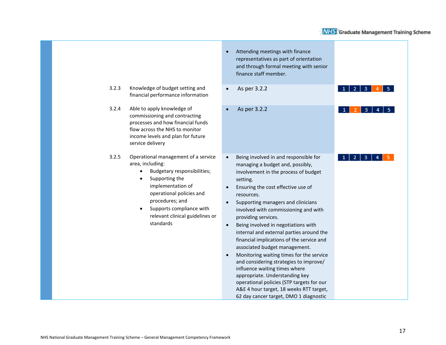|                                                                                                                                                                                                                                                                   | Attending meetings with finance<br>representatives as part of orientation<br>and through formal meeting with senior<br>finance staff member.                                                                                                                                                                                                                                                                                                                                                                                                                                                                                                                                                                                                                                 |
|-------------------------------------------------------------------------------------------------------------------------------------------------------------------------------------------------------------------------------------------------------------------|------------------------------------------------------------------------------------------------------------------------------------------------------------------------------------------------------------------------------------------------------------------------------------------------------------------------------------------------------------------------------------------------------------------------------------------------------------------------------------------------------------------------------------------------------------------------------------------------------------------------------------------------------------------------------------------------------------------------------------------------------------------------------|
| 3.2.3<br>Knowledge of budget setting and<br>financial performance information                                                                                                                                                                                     | As per 3.2.2<br>3                                                                                                                                                                                                                                                                                                                                                                                                                                                                                                                                                                                                                                                                                                                                                            |
| 3.2.4<br>Able to apply knowledge of<br>commissioning and contracting<br>processes and how financial funds<br>flow across the NHS to monitor<br>income levels and plan for future<br>service delivery                                                              | As per 3.2.2<br>з                                                                                                                                                                                                                                                                                                                                                                                                                                                                                                                                                                                                                                                                                                                                                            |
| 3.2.5<br>Operational management of a service<br>area, including:<br>Budgetary responsibilities;<br>Supporting the<br>implementation of<br>operational policies and<br>procedures; and<br>Supports compliance with<br>relevant clinical guidelines or<br>standards | Being involved in and responsible for<br>$\bullet$<br>managing a budget and, possibly,<br>involvement in the process of budget<br>setting.<br>Ensuring the cost effective use of<br>resources.<br>Supporting managers and clinicians<br>involved with commissioning and with<br>providing services.<br>Being involved in negotiations with<br>$\bullet$<br>internal and external parties around the<br>financial implications of the service and<br>associated budget management.<br>Monitoring waiting times for the service<br>and considering strategies to improve/<br>influence waiting times where<br>appropriate. Understanding key<br>operational policies (STP targets for our<br>A&E 4 hour target, 18 weeks RTT target,<br>62 day cancer target, DMO 1 diagnostic |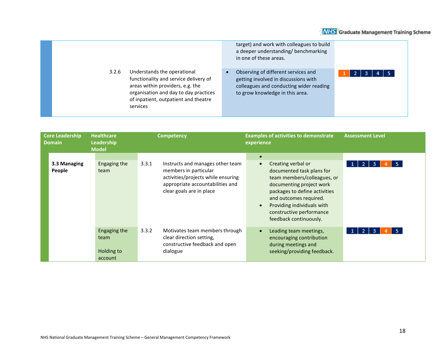|       |                                                                                                                                                                                                       | target) and work with colleagues to build<br>a deeper understanding/benchmarking<br>in one of these areas.                                                |  |
|-------|-------------------------------------------------------------------------------------------------------------------------------------------------------------------------------------------------------|-----------------------------------------------------------------------------------------------------------------------------------------------------------|--|
| 3.2.6 | Understands the operational<br>functionality and service delivery of<br>areas within providers, e.g. the<br>organisation and day to day practices<br>of inpatient, outpatient and theatre<br>services | Observing of different services and<br>getting involved in discussions with<br>colleagues and conducting wider reading<br>to grow knowledge in this area. |  |

| <b>Core Leadership</b><br><b>Domain</b> | <b>Healthcare</b><br>Leadership<br><b>Model</b> | <b>Competency</b>                                                                                                                                                        | <b>Examples of activities to demonstrate</b><br>experience                                                                                                                                                                                                                          | <b>Assessment Level</b>                |
|-----------------------------------------|-------------------------------------------------|--------------------------------------------------------------------------------------------------------------------------------------------------------------------------|-------------------------------------------------------------------------------------------------------------------------------------------------------------------------------------------------------------------------------------------------------------------------------------|----------------------------------------|
| 3.3 Managing<br>People                  | Engaging the<br>team                            | 3.3.1<br>Instructs and manages other team<br>members in particular<br>activities/projects while ensuring<br>appropriate accountabilities and<br>clear goals are in place | $\bullet$<br>Creating verbal or<br>documented task plans for<br>team members/colleagues, or<br>documenting project work<br>packages to define activities<br>and outcomes required.<br>Providing individuals with<br>$\bullet$<br>constructive performance<br>feedback continuously. | -5<br>-2 I<br>3                        |
|                                         | Engaging the<br>team<br>Holding to<br>account   | 3.3.2<br>Motivates team members through<br>clear direction setting,<br>constructive feedback and open<br>dialogue                                                        | Leading team meetings,<br>encouraging contribution<br>during meetings and<br>seeking/providing feedback.                                                                                                                                                                            | -5.<br>$1 \mid 2 \mid$<br>$\mathbf{3}$ |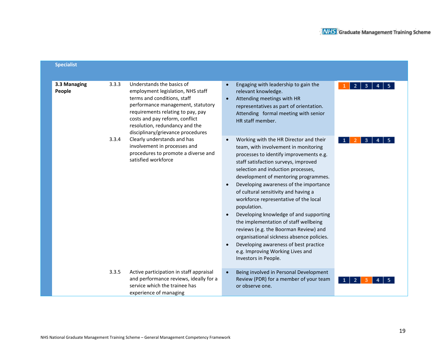| <b>Specialist</b>      |       |                                                                                                                                                                                                                                                                                  |                                                                                                                                                                                                                                                                                                                                                                                                                                                                                                                                                                                                                                                                         |              |
|------------------------|-------|----------------------------------------------------------------------------------------------------------------------------------------------------------------------------------------------------------------------------------------------------------------------------------|-------------------------------------------------------------------------------------------------------------------------------------------------------------------------------------------------------------------------------------------------------------------------------------------------------------------------------------------------------------------------------------------------------------------------------------------------------------------------------------------------------------------------------------------------------------------------------------------------------------------------------------------------------------------------|--------------|
| 3.3 Managing<br>People | 3.3.3 | Understands the basics of<br>employment legislation, NHS staff<br>terms and conditions, staff<br>performance management, statutory<br>requirements relating to pay, pay<br>costs and pay reform, conflict<br>resolution, redundancy and the<br>disciplinary/grievance procedures | Engaging with leadership to gain the<br>relevant knowledge.<br>Attending meetings with HR<br>representatives as part of orientation.<br>Attending formal meeting with senior<br>HR staff member.                                                                                                                                                                                                                                                                                                                                                                                                                                                                        | 2<br>3<br>5. |
|                        | 3.3.4 | Clearly understands and has<br>involvement in processes and<br>procedures to promote a diverse and<br>satisfied workforce                                                                                                                                                        | Working with the HR Director and their<br>team, with involvement in monitoring<br>processes to identify improvements e.g.<br>staff satisfaction surveys, improved<br>selection and induction processes,<br>development of mentoring programmes.<br>Developing awareness of the importance<br>of cultural sensitivity and having a<br>workforce representative of the local<br>population.<br>Developing knowledge of and supporting<br>the implementation of staff wellbeing<br>reviews (e.g. the Boorman Review) and<br>organisational sickness absence policies.<br>Developing awareness of best practice<br>e.g. Improving Working Lives and<br>Investors in People. |              |
|                        | 3.3.5 | Active participation in staff appraisal<br>and performance reviews, ideally for a<br>service which the trainee has<br>experience of managing                                                                                                                                     | Being involved in Personal Development<br>Review (PDR) for a member of your team<br>or observe one.                                                                                                                                                                                                                                                                                                                                                                                                                                                                                                                                                                     |              |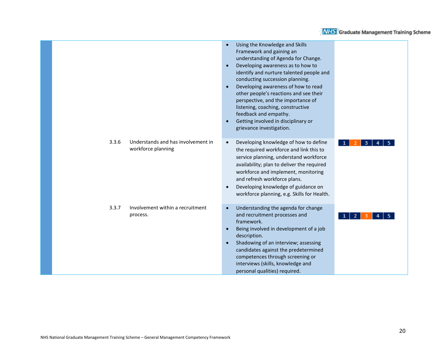|                                                                   | Using the Knowledge and Skills<br>$\bullet$<br>Framework and gaining an<br>understanding of Agenda for Change.<br>Developing awareness as to how to<br>$\bullet$<br>identify and nurture talented people and<br>conducting succession planning.<br>Developing awareness of how to read<br>$\bullet$<br>other people's reactions and see their<br>perspective, and the importance of<br>listening, coaching, constructive<br>feedback and empathy.<br>Getting involved in disciplinary or<br>$\bullet$<br>grievance investigation. |
|-------------------------------------------------------------------|-----------------------------------------------------------------------------------------------------------------------------------------------------------------------------------------------------------------------------------------------------------------------------------------------------------------------------------------------------------------------------------------------------------------------------------------------------------------------------------------------------------------------------------|
| 3.3.6<br>Understands and has involvement in<br>workforce planning | Developing knowledge of how to define<br>$\bullet$<br>the required workforce and link this to<br>service planning, understand workforce<br>availability; plan to deliver the required<br>workforce and implement, monitoring<br>and refresh workforce plans.<br>Developing knowledge of guidance on<br>$\bullet$<br>workforce planning, e.g. Skills for Health.                                                                                                                                                                   |
| 3.3.7<br>Involvement within a recruitment<br>process.             | Understanding the agenda for change<br>$\bullet$<br>and recruitment processes and<br>framework.<br>Being involved in development of a job<br>$\bullet$<br>description.<br>Shadowing of an interview; assessing<br>$\bullet$<br>candidates against the predetermined<br>competences through screening or<br>interviews (skills, knowledge and<br>personal qualities) required.                                                                                                                                                     |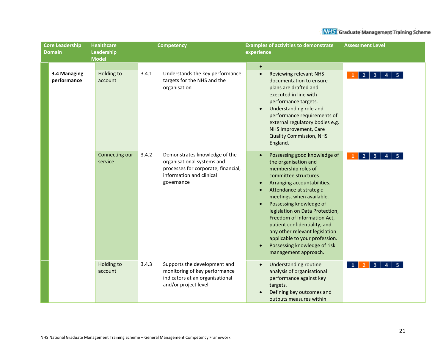| <b>Core Leadership</b> |                             | <b>Healthcare</b>          | <b>Competency</b>                                                                                                                                     | <b>Examples of activities to demonstrate</b>                                                                                                                                                                                                                                                                                                                                                                                                                                                                          | <b>Assessment Level</b>                            |  |
|------------------------|-----------------------------|----------------------------|-------------------------------------------------------------------------------------------------------------------------------------------------------|-----------------------------------------------------------------------------------------------------------------------------------------------------------------------------------------------------------------------------------------------------------------------------------------------------------------------------------------------------------------------------------------------------------------------------------------------------------------------------------------------------------------------|----------------------------------------------------|--|
| <b>Domain</b>          |                             | Leadership<br><b>Model</b> |                                                                                                                                                       | experience                                                                                                                                                                                                                                                                                                                                                                                                                                                                                                            |                                                    |  |
|                        |                             |                            |                                                                                                                                                       | $\bullet$                                                                                                                                                                                                                                                                                                                                                                                                                                                                                                             |                                                    |  |
|                        | 3.4 Managing<br>performance | Holding to<br>account      | 3.4.1<br>Understands the key performance<br>targets for the NHS and the<br>organisation                                                               | <b>Reviewing relevant NHS</b><br>$\bullet$<br>documentation to ensure<br>plans are drafted and<br>executed in line with<br>performance targets.<br>Understanding role and<br>$\bullet$<br>performance requirements of<br>external regulatory bodies e.g.<br>NHS Improvement, Care<br><b>Quality Commission, NHS</b><br>England.                                                                                                                                                                                       | 2<br>3                                             |  |
|                        |                             | Connecting our<br>service  | 3.4.2<br>Demonstrates knowledge of the<br>organisational systems and<br>processes for corporate, financial,<br>information and clinical<br>governance | Possessing good knowledge of<br>$\bullet$<br>the organisation and<br>membership roles of<br>committee structures.<br>Arranging accountabilities.<br>$\bullet$<br>Attendance at strategic<br>$\bullet$<br>meetings, when available.<br>Possessing knowledge of<br>$\bullet$<br>legislation on Data Protection,<br>Freedom of Information Act,<br>patient confidentiality, and<br>any other relevant legislation<br>applicable to your profession.<br>Possessing knowledge of risk<br>$\bullet$<br>management approach. | $\mathbf{2}$<br>-3                                 |  |
|                        |                             | Holding to<br>account      | 3.4.3<br>Supports the development and<br>monitoring of key performance<br>indicators at an organisational<br>and/or project level                     | <b>Understanding routine</b><br>$\bullet$<br>analysis of organisational<br>performance against key<br>targets.<br>Defining key outcomes and<br>outputs measures within                                                                                                                                                                                                                                                                                                                                                | $\overline{2}$<br>3 <sup>1</sup><br>1 <sup>1</sup> |  |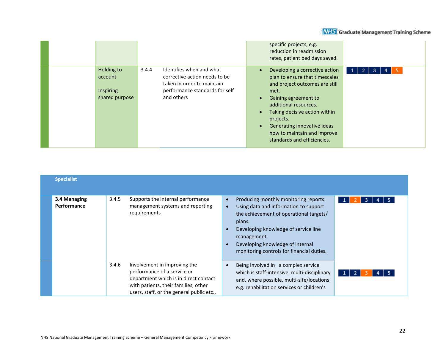|                                                      |                                                                                                                                                  | specific projects, e.g.<br>reduction in readmission<br>rates, patient bed days saved.                                                                                                                                                                                                                                                                      |                             |
|------------------------------------------------------|--------------------------------------------------------------------------------------------------------------------------------------------------|------------------------------------------------------------------------------------------------------------------------------------------------------------------------------------------------------------------------------------------------------------------------------------------------------------------------------------------------------------|-----------------------------|
| Holding to<br>account<br>Inspiring<br>shared purpose | Identifies when and what<br>3.4.4<br>corrective action needs to be<br>taken in order to maintain<br>performance standards for self<br>and others | Developing a corrective action<br>$\bullet$<br>plan to ensure that timescales<br>and project outcomes are still<br>met.<br>Gaining agreement to<br>$\bullet$<br>additional resources.<br>Taking decisive action within<br>$\bullet$<br>projects.<br>Generating innovative ideas<br>$\bullet$<br>how to maintain and improve<br>standards and efficiencies. | $\blacksquare$<br>з<br>$-1$ |

| <b>Specialist</b>           |       |                                                                                                                                                                                           |                                                                                                                                                                                                                                                                                                                 |
|-----------------------------|-------|-------------------------------------------------------------------------------------------------------------------------------------------------------------------------------------------|-----------------------------------------------------------------------------------------------------------------------------------------------------------------------------------------------------------------------------------------------------------------------------------------------------------------|
| 3.4 Managing<br>Performance | 3.4.5 | Supports the internal performance<br>management systems and reporting<br>requirements                                                                                                     | Producing monthly monitoring reports.<br>$\bullet$<br>3<br>1<br>Using data and information to support<br>$\bullet$<br>the achievement of operational targets/<br>plans.<br>Developing knowledge of service line<br>management.<br>Developing knowledge of internal<br>monitoring controls for financial duties. |
|                             | 3.4.6 | Involvement in improving the<br>performance of a service or<br>department which is in direct contact<br>with patients, their families, other<br>users, staff, or the general public etc., | Being involved in a complex service<br>$\bullet$<br>which is staff-intensive, multi-disciplinary<br>and, where possible, multi-site/locations<br>e.g. rehabilitation services or children's                                                                                                                     |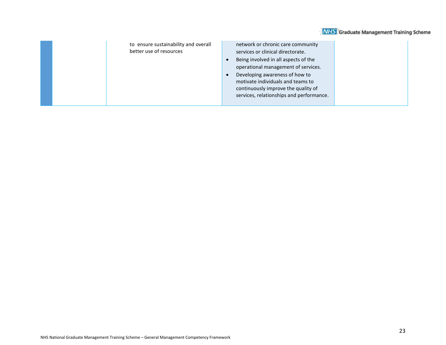| to ensure sustainability and overall<br>better use of resources | network or chronic care community<br>services or clinical directorate.<br>Being involved in all aspects of the<br>operational management of services.<br>Developing awareness of how to<br>motivate individuals and teams to<br>continuously improve the quality of<br>services, relationships and performance. |  |
|-----------------------------------------------------------------|-----------------------------------------------------------------------------------------------------------------------------------------------------------------------------------------------------------------------------------------------------------------------------------------------------------------|--|
|-----------------------------------------------------------------|-----------------------------------------------------------------------------------------------------------------------------------------------------------------------------------------------------------------------------------------------------------------------------------------------------------------|--|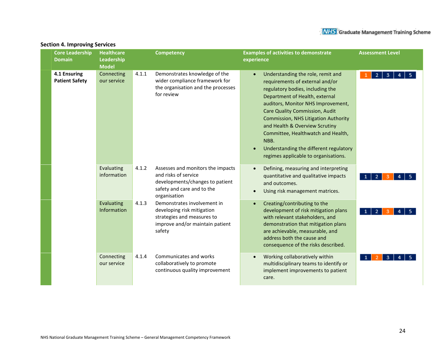#### **Core Leadership Healthcare Competency Examples of activities to demonstrate Assessment Level Domain Leadership experience Model 4.1 Ensuring Connecting** 4.1.1 Demonstrates knowledge of the • Understanding the role, remit and  $1 \ 2 \ 3 \ 4 \ 5$ **Patient Safety** our service wider compliance framework for requirements of external and/or the organisation and the processes regulatory bodies, including the for review Department of Health, external auditors, Monitor NHS Improvement, Care Quality Commission, Audit Commission, NHS Litigation Authority and Health & Overview Scrutiny Committee, Healthwatch and Health, NBB. • Understanding the different regulatory regimes applicable to organisations. Evaluating 4.1.2 Assesses and monitors the impacts • Defining, measuring and interpreting information and risks of service quantitative and qualitative impacts  $1 \mid 2 \mid 3 \mid 4 \mid 5$ developments/changes to patient and outcomes. safety and care and to the • Using risk management matrices. organisation 4.1.3 Demonstrates involvement in Evaluating • Creating/contributing to the Information developing risk mitigation development of risk mitigation plans  $2<sup>7</sup>$ strategies and measures to with relevant stakeholders, and improve and/or maintain patient demonstration that mitigation plans safety are achievable, measurable, and address both the cause and consequence of the risks described. **Connecting** 4.1.4 Communicates and works • Working collaboratively within  $\vert$  3  $\vert$  $\overline{A}$ our service collaboratively to promote multidisciplinary teams to identify or continuous quality improvement implement improvements to patient care.

#### **Section 4. Improving Services**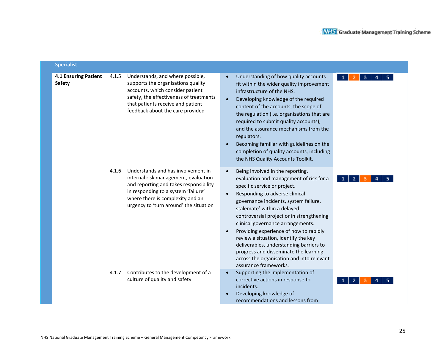| <b>Specialist</b>                            |       |                                                                                                                                                                                                                                           |                                                                                                                                                                                                                                                                                                                                                                                                                                                                                                                                                          |
|----------------------------------------------|-------|-------------------------------------------------------------------------------------------------------------------------------------------------------------------------------------------------------------------------------------------|----------------------------------------------------------------------------------------------------------------------------------------------------------------------------------------------------------------------------------------------------------------------------------------------------------------------------------------------------------------------------------------------------------------------------------------------------------------------------------------------------------------------------------------------------------|
| <b>4.1 Ensuring Patient</b><br><b>Safety</b> | 4.1.5 | Understands, and where possible,<br>supports the organisations quality<br>accounts, which consider patient<br>safety, the effectiveness of treatments<br>that patients receive and patient<br>feedback about the care provided            | Understanding of how quality accounts<br>3<br>fit within the wider quality improvement<br>infrastructure of the NHS.<br>Developing knowledge of the required<br>$\bullet$<br>content of the accounts, the scope of<br>the regulation (i.e. organisations that are<br>required to submit quality accounts),<br>and the assurance mechanisms from the<br>regulators.<br>Becoming familiar with guidelines on the<br>completion of quality accounts, including<br>the NHS Quality Accounts Toolkit.                                                         |
|                                              | 4.1.6 | Understands and has involvement in<br>internal risk management, evaluation<br>and reporting and takes responsibility<br>in responding to a system 'failure'<br>where there is complexity and an<br>urgency to 'turn around' the situation | Being involved in the reporting,<br>evaluation and management of risk for a<br>2<br>specific service or project.<br>Responding to adverse clinical<br>governance incidents, system failure,<br>stalemate' within a delayed<br>controversial project or in strengthening<br>clinical governance arrangements.<br>Providing experience of how to rapidly<br>review a situation, identify the key<br>deliverables, understanding barriers to<br>progress and disseminate the learning<br>across the organisation and into relevant<br>assurance frameworks. |
|                                              | 4.1.7 | Contributes to the development of a<br>culture of quality and safety                                                                                                                                                                      | Supporting the implementation of<br>corrective actions in response to<br>incidents.<br>Developing knowledge of<br>recommendations and lessons from                                                                                                                                                                                                                                                                                                                                                                                                       |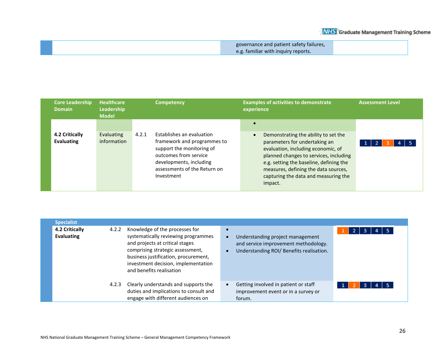| governance and patient safety failures, |  |
|-----------------------------------------|--|
| e.g. familiar with inquiry reports.     |  |

| <b>Core Leadership</b><br><b>Domain</b> | <b>Healthcare</b><br>Leadership<br><b>Model</b> | <b>Competency</b>                                                                                                                                                                                | <b>Examples of activities to demonstrate</b><br>experience                                                                                                                                                                                                                                    | <b>Assessment Level</b> |
|-----------------------------------------|-------------------------------------------------|--------------------------------------------------------------------------------------------------------------------------------------------------------------------------------------------------|-----------------------------------------------------------------------------------------------------------------------------------------------------------------------------------------------------------------------------------------------------------------------------------------------|-------------------------|
| 4.2 Critically<br><b>Evaluating</b>     | Evaluating<br>information                       | Establishes an evaluation<br>4.2.1<br>framework and programmes to<br>support the monitoring of<br>outcomes from service<br>developments, including<br>assessments of the Return on<br>Investment | Demonstrating the ability to set the<br>$\bullet$<br>parameters for undertaking an<br>evaluation, including economic, of<br>planned changes to services, including<br>e.g. setting the baseline, defining the<br>measures, defining the data sources,<br>capturing the data and measuring the |                         |
|                                         |                                                 |                                                                                                                                                                                                  | impact.                                                                                                                                                                                                                                                                                       |                         |

| <b>Specialist</b>                   |       |                                                                                                                                                                                                                                                         |                                                                                                                      |                   |
|-------------------------------------|-------|---------------------------------------------------------------------------------------------------------------------------------------------------------------------------------------------------------------------------------------------------------|----------------------------------------------------------------------------------------------------------------------|-------------------|
| 4.2 Critically<br><b>Evaluating</b> | 4.2.2 | Knowledge of the processes for<br>systematically reviewing programmes<br>and projects at critical stages<br>comprising strategic assessment,<br>business justification, procurement,<br>investment decision, implementation<br>and benefits realisation | Understanding project management<br>and service improvement methodology.<br>Understanding ROI/ Benefits realisation. | $\mathbf{2}$<br>3 |
|                                     | 4.2.3 | Clearly understands and supports the<br>duties and implications to consult and<br>engage with different audiences on                                                                                                                                    | Getting involved in patient or staff<br>improvement event or in a survey or<br>forum.                                | 3                 |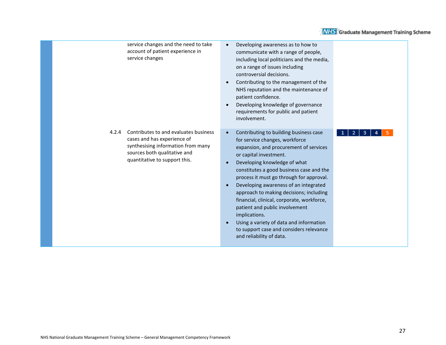|       | service changes and the need to take<br>account of patient experience in<br>service changes                                                                                 | Developing awareness as to how to<br>communicate with a range of people,<br>including local politicians and the media,<br>on a range of issues including<br>controversial decisions.<br>Contributing to the management of the<br>NHS reputation and the maintenance of<br>patient confidence.<br>Developing knowledge of governance<br>requirements for public and patient<br>involvement.                                                                                                                                                                                  |        |
|-------|-----------------------------------------------------------------------------------------------------------------------------------------------------------------------------|-----------------------------------------------------------------------------------------------------------------------------------------------------------------------------------------------------------------------------------------------------------------------------------------------------------------------------------------------------------------------------------------------------------------------------------------------------------------------------------------------------------------------------------------------------------------------------|--------|
| 4.2.4 | Contributes to and evaluates business<br>cases and has experience of<br>synthesising information from many<br>sources both qualitative and<br>quantitative to support this. | Contributing to building business case<br>for service changes, workforce<br>expansion, and procurement of services<br>or capital investment.<br>Developing knowledge of what<br>constitutes a good business case and the<br>process it must go through for approval.<br>Developing awareness of an integrated<br>approach to making decisions; including<br>financial, clinical, corporate, workforce,<br>patient and public involvement<br>implications.<br>Using a variety of data and information<br>to support case and considers relevance<br>and reliability of data. | 2<br>з |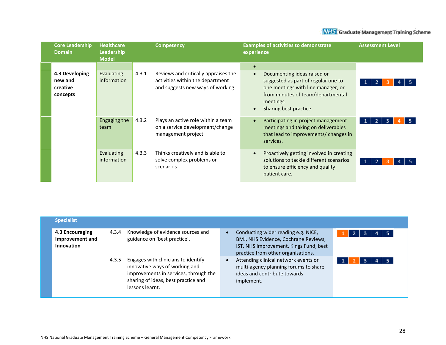| <b>Core Leadership</b><br><b>Domain</b>           | <b>Healthcare</b><br>Leadership<br><b>Model</b> | <b>Competency</b>                                                                                                     | <b>Examples of activities to demonstrate</b><br>experience                                                                                                                                                                  | <b>Assessment Level</b> |
|---------------------------------------------------|-------------------------------------------------|-----------------------------------------------------------------------------------------------------------------------|-----------------------------------------------------------------------------------------------------------------------------------------------------------------------------------------------------------------------------|-------------------------|
| 4.3 Developing<br>new and<br>creative<br>concepts | Evaluating<br>information                       | 4.3.1<br>Reviews and critically appraises the<br>activities within the department<br>and suggests new ways of working | $\bullet$<br>Documenting ideas raised or<br>$\bullet$<br>suggested as part of regular one to<br>one meetings with line manager, or<br>from minutes of team/departmental<br>meetings.<br>Sharing best practice.<br>$\bullet$ |                         |
|                                                   | <b>Engaging the</b><br>team                     | 4.3.2<br>Plays an active role within a team<br>on a service development/change<br>management project                  | Participating in project management<br>$\bullet$<br>meetings and taking on deliverables<br>that lead to improvements/ changes in<br>services.                                                                               |                         |
|                                                   | Evaluating<br>information                       | 4.3.3<br>Thinks creatively and is able to<br>solve complex problems or<br>scenarios                                   | Proactively getting involved in creating<br>$\bullet$<br>solutions to tackle different scenarios<br>to ensure efficiency and quality<br>patient care.                                                                       |                         |

| 4.3 Encouraging<br>Improvement and<br>Innovation | 4.3.4 | Knowledge of evidence sources and<br>guidance on 'best practice'.                                                                                                        | Conducting wider reading e.g. NICE,<br>BMJ, NHS Evidence, Cochrane Reviews,<br>IST, NHS Improvement, Kings Fund, best<br>practice from other organisations. | -21<br>-3. |
|--------------------------------------------------|-------|--------------------------------------------------------------------------------------------------------------------------------------------------------------------------|-------------------------------------------------------------------------------------------------------------------------------------------------------------|------------|
|                                                  | 4.3.5 | Engages with clinicians to identify<br>innovative ways of working and<br>improvements in services, through the<br>sharing of ideas, best practice and<br>lessons learnt. | Attending clinical network events or<br>multi-agency planning forums to share<br>ideas and contribute towards<br>implement.                                 | з          |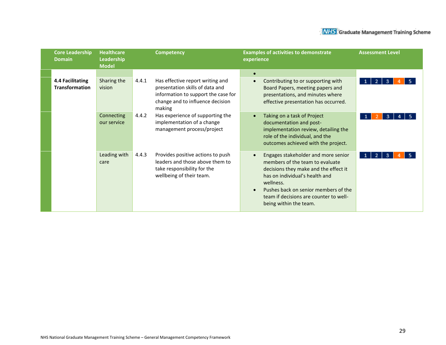| <b>Core Leadership</b><br><b>Domain</b>   | <b>Healthcare</b><br>Leadership<br><b>Model</b> | <b>Competency</b>                                                                                                                                                 | <b>Examples of activities to demonstrate</b><br>experience                                                                                                                                                                                                                              | <b>Assessment Level</b> |
|-------------------------------------------|-------------------------------------------------|-------------------------------------------------------------------------------------------------------------------------------------------------------------------|-----------------------------------------------------------------------------------------------------------------------------------------------------------------------------------------------------------------------------------------------------------------------------------------|-------------------------|
| 4.4 Facilitating<br><b>Transformation</b> | Sharing the<br>vision                           | 4.4.1<br>Has effective report writing and<br>presentation skills of data and<br>information to support the case for<br>change and to influence decision<br>making | Contributing to or supporting with<br>$\bullet$<br>Board Papers, meeting papers and<br>presentations, and minutes where<br>effective presentation has occurred.                                                                                                                         | 2<br>з                  |
|                                           | Connecting<br>our service                       | Has experience of supporting the<br>4.4.2<br>implementation of a change<br>management process/project                                                             | Taking on a task of Project<br>documentation and post-<br>implementation review, detailing the<br>role of the individual, and the<br>outcomes achieved with the project.                                                                                                                | 3                       |
|                                           | Leading with<br>care                            | Provides positive actions to push<br>4.4.3<br>leaders and those above them to<br>take responsibility for the<br>wellbeing of their team.                          | Engages stakeholder and more senior<br>$\bullet$<br>members of the team to evaluate<br>decisions they make and the effect it<br>has on individual's health and<br>wellness.<br>Pushes back on senior members of the<br>team if decisions are counter to well-<br>being within the team. | з                       |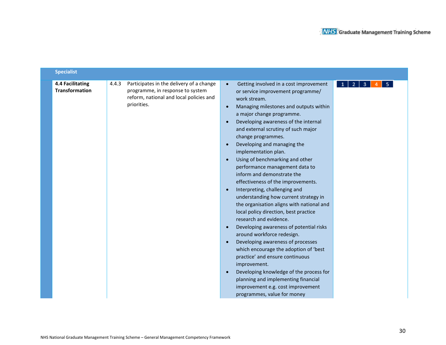| <b>Specialist</b>                                |       |                                                                                                                                        |                                                                                                                                                                                                                                                                                                                                                                                                                                                                                                                                                                                                                                                                                                                                                                                                                                                                                                                                                                                                                                                                                                                              |        |
|--------------------------------------------------|-------|----------------------------------------------------------------------------------------------------------------------------------------|------------------------------------------------------------------------------------------------------------------------------------------------------------------------------------------------------------------------------------------------------------------------------------------------------------------------------------------------------------------------------------------------------------------------------------------------------------------------------------------------------------------------------------------------------------------------------------------------------------------------------------------------------------------------------------------------------------------------------------------------------------------------------------------------------------------------------------------------------------------------------------------------------------------------------------------------------------------------------------------------------------------------------------------------------------------------------------------------------------------------------|--------|
| <b>4.4 Facilitating</b><br><b>Transformation</b> | 4.4.3 | Participates in the delivery of a change<br>programme, in response to system<br>reform, national and local policies and<br>priorities. | Getting involved in a cost improvement<br>$\bullet$<br>or service improvement programme/<br>work stream.<br>Managing milestones and outputs within<br>$\bullet$<br>a major change programme.<br>Developing awareness of the internal<br>and external scrutiny of such major<br>change programmes.<br>Developing and managing the<br>$\bullet$<br>implementation plan.<br>Using of benchmarking and other<br>performance management data to<br>inform and demonstrate the<br>effectiveness of the improvements.<br>Interpreting, challenging and<br>$\bullet$<br>understanding how current strategy in<br>the organisation aligns with national and<br>local policy direction, best practice<br>research and evidence.<br>Developing awareness of potential risks<br>$\bullet$<br>around workforce redesign.<br>Developing awareness of processes<br>$\bullet$<br>which encourage the adoption of 'best<br>practice' and ensure continuous<br>improvement.<br>Developing knowledge of the process for<br>$\bullet$<br>planning and implementing financial<br>improvement e.g. cost improvement<br>programmes, value for money | 5<br>3 |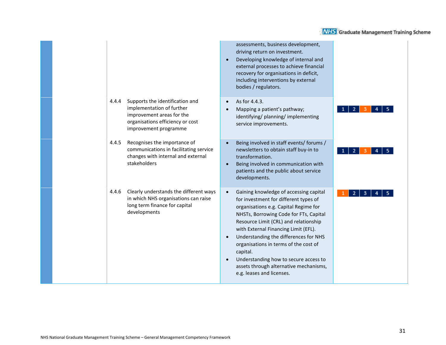|       |                                                                                                                                                        | assessments, business development,<br>driving return on investment.<br>Developing knowledge of internal and<br>external processes to achieve financial<br>recovery for organisations in deficit,<br>including interventions by external<br>bodies / regulators.                                                                                                                                                                                                                |  |
|-------|--------------------------------------------------------------------------------------------------------------------------------------------------------|--------------------------------------------------------------------------------------------------------------------------------------------------------------------------------------------------------------------------------------------------------------------------------------------------------------------------------------------------------------------------------------------------------------------------------------------------------------------------------|--|
| 4.4.4 | Supports the identification and<br>implementation of further<br>improvement areas for the<br>organisations efficiency or cost<br>improvement programme | As for 4.4.3.<br>Mapping a patient's pathway;<br>identifying/ planning/ implementing<br>service improvements.                                                                                                                                                                                                                                                                                                                                                                  |  |
| 4.4.5 | Recognises the importance of<br>communications in facilitating service<br>changes with internal and external<br>stakeholders                           | Being involved in staff events/ forums /<br>newsletters to obtain staff buy-in to<br>transformation.<br>Being involved in communication with<br>patients and the public about service<br>developments.                                                                                                                                                                                                                                                                         |  |
| 4.4.6 | Clearly understands the different ways<br>in which NHS organisations can raise<br>long term finance for capital<br>developments                        | Gaining knowledge of accessing capital<br>$\bullet$<br>for investment for different types of<br>organisations e.g. Capital Regime for<br>NHSTs, Borrowing Code for FTs, Capital<br>Resource Limit (CRL) and relationship<br>with External Financing Limit (EFL).<br>Understanding the differences for NHS<br>organisations in terms of the cost of<br>capital.<br>Understanding how to secure access to<br>assets through alternative mechanisms,<br>e.g. leases and licenses. |  |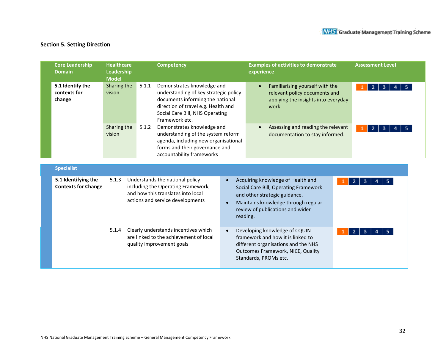### **Section 5. Setting Direction**

| <b>Core Leadership</b><br><b>Domain</b>    | <b>Healthcare</b><br>Leadership<br><b>Model</b> |       | <b>Competency</b>                                                                                                                                                                                   | <b>Examples of activities to demonstrate</b><br>experience                                                                    | <b>Assessment Level</b>         |
|--------------------------------------------|-------------------------------------------------|-------|-----------------------------------------------------------------------------------------------------------------------------------------------------------------------------------------------------|-------------------------------------------------------------------------------------------------------------------------------|---------------------------------|
| 5.1 Identify the<br>contexts for<br>change | Sharing the<br>vision                           | 5.1.1 | Demonstrates knowledge and<br>understanding of key strategic policy<br>documents informing the national<br>direction of travel e.g. Health and<br>Social Care Bill, NHS Operating<br>Framework etc. | Familiarising yourself with the<br>$\bullet$<br>relevant policy documents and<br>applying the insights into everyday<br>work. | - 5<br>$\overline{2}$<br>3<br>4 |
|                                            | Sharing the<br>vision                           | 5.1.2 | Demonstrates knowledge and<br>understanding of the system reform<br>agenda, including new organisational<br>forms and their governance and<br>accountability frameworks                             | Assessing and reading the relevant<br>$\bullet$<br>documentation to stay informed.                                            | -5<br>2<br>3<br>4               |
| <b>Specialist</b><br>5.1 Identifying the   | 5.1.3                                           |       | Understands the national policy                                                                                                                                                                     | Acquiring knowledge of Health and                                                                                             | $2 \mid 3 \mid$<br>4            |

| 5.1 Identifying the<br><b>Contexts for Change</b> | 5.1.3 | Understands the national policy<br>including the Operating Framework,<br>and how this translates into local<br>actions and service developments | Acquiring knowledge of Health and<br>Social Care Bill, Operating Framework<br>and other strategic guidance.<br>Maintains knowledge through regular<br>$\bullet$<br>review of publications and wider<br>reading. |                                                                                                                                                                                |        |  |
|---------------------------------------------------|-------|-------------------------------------------------------------------------------------------------------------------------------------------------|-----------------------------------------------------------------------------------------------------------------------------------------------------------------------------------------------------------------|--------------------------------------------------------------------------------------------------------------------------------------------------------------------------------|--------|--|
|                                                   | 5.1.4 | Clearly understands incentives which<br>are linked to the achievement of local<br>quality improvement goals                                     | $\bullet$                                                                                                                                                                                                       | Developing knowledge of CQUIN<br>framework and how it is linked to<br>different organisations and the NHS<br><b>Outcomes Framework, NICE, Quality</b><br>Standards, PROMs etc. | 3<br>4 |  |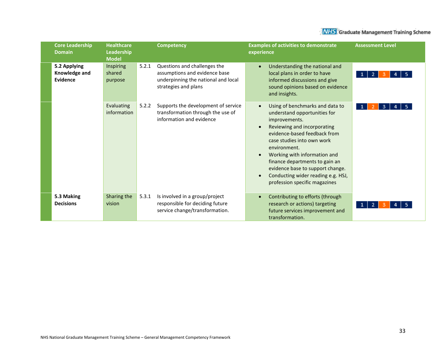| <b>Core Leadership</b><br><b>Domain</b>          | <b>Healthcare</b><br>Leadership<br><b>Model</b> | <b>Competency</b>                                                                                                                     | <b>Examples of activities to demonstrate</b><br>experience                                                                                                                                                                                                                                                                                                                                                        | <b>Assessment Level</b> |
|--------------------------------------------------|-------------------------------------------------|---------------------------------------------------------------------------------------------------------------------------------------|-------------------------------------------------------------------------------------------------------------------------------------------------------------------------------------------------------------------------------------------------------------------------------------------------------------------------------------------------------------------------------------------------------------------|-------------------------|
| 5.2 Applying<br>Knowledge and<br><b>Evidence</b> | Inspiring<br>shared<br>purpose                  | Questions and challenges the<br>5.2.1<br>assumptions and evidence base<br>underpinning the national and local<br>strategies and plans | Understanding the national and<br>$\bullet$<br>local plans in order to have<br>informed discussions and give<br>sound opinions based on evidence<br>and insights.                                                                                                                                                                                                                                                 |                         |
|                                                  | Evaluating<br>information                       | 5.2.2<br>Supports the development of service<br>transformation through the use of<br>information and evidence                         | Using of benchmarks and data to<br>$\bullet$<br>understand opportunities for<br>improvements.<br>Reviewing and incorporating<br>$\bullet$<br>evidence-based feedback from<br>case studies into own work<br>environment.<br>Working with information and<br>finance departments to gain an<br>evidence base to support change.<br>Conducting wider reading e.g. HSJ,<br>$\bullet$<br>profession specific magazines | з                       |
| 5.3 Making<br><b>Decisions</b>                   | Sharing the<br>vision                           | 5.3.1<br>Is involved in a group/project<br>responsible for deciding future<br>service change/transformation.                          | Contributing to efforts (through<br>research or actions) targeting<br>future services improvement and<br>transformation.                                                                                                                                                                                                                                                                                          |                         |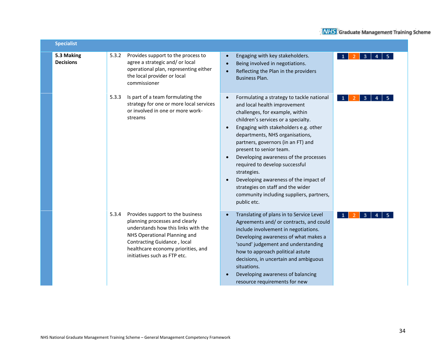| <b>Specialist</b>              |       |                                                                                                                                                                                                                                                |                                                                                                                                                                                                                                                                                                                                                                                                                                                                                                                                                                                               |
|--------------------------------|-------|------------------------------------------------------------------------------------------------------------------------------------------------------------------------------------------------------------------------------------------------|-----------------------------------------------------------------------------------------------------------------------------------------------------------------------------------------------------------------------------------------------------------------------------------------------------------------------------------------------------------------------------------------------------------------------------------------------------------------------------------------------------------------------------------------------------------------------------------------------|
| 5.3 Making<br><b>Decisions</b> | 5.3.2 | Provides support to the process to<br>agree a strategic and/ or local<br>operational plan, representing either<br>the local provider or local<br>commissioner                                                                                  | Engaging with key stakeholders.<br>4<br>-3<br>Being involved in negotiations.<br>$\bullet$<br>Reflecting the Plan in the providers<br><b>Business Plan.</b>                                                                                                                                                                                                                                                                                                                                                                                                                                   |
|                                | 5.3.3 | Is part of a team formulating the<br>strategy for one or more local services<br>or involved in one or more work-<br>streams                                                                                                                    | Formulating a strategy to tackle national<br>$\bullet$<br>-3<br>and local health improvement<br>challenges, for example, within<br>children's services or a specialty.<br>Engaging with stakeholders e.g. other<br>$\bullet$<br>departments, NHS organisations,<br>partners, governors (in an FT) and<br>present to senior team.<br>Developing awareness of the processes<br>$\bullet$<br>required to develop successful<br>strategies.<br>Developing awareness of the impact of<br>$\bullet$<br>strategies on staff and the wider<br>community including suppliers, partners,<br>public etc. |
|                                | 5.3.4 | Provides support to the business<br>planning processes and clearly<br>understands how this links with the<br>NHS Operational Planning and<br>Contracting Guidance, local<br>healthcare economy priorities, and<br>initiatives such as FTP etc. | Translating of plans in to Service Level<br>-3<br>$\mathbf{1}$<br>Agreements and/ or contracts, and could<br>include involvement in negotiations.<br>Developing awareness of what makes a<br>'sound' judgement and understanding<br>how to approach political astute<br>decisions, in uncertain and ambiguous<br>situations.<br>Developing awareness of balancing<br>resource requirements for new                                                                                                                                                                                            |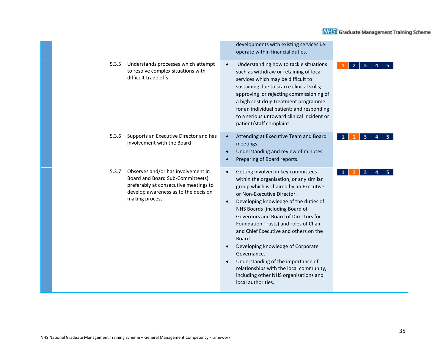|       |                                                                                                                                                                           |                                                  | developments with existing services i.e.<br>operate within financial duties.                                                                                                                                                                                                                                                                                                                                                                                                                                                                                             |  |
|-------|---------------------------------------------------------------------------------------------------------------------------------------------------------------------------|--------------------------------------------------|--------------------------------------------------------------------------------------------------------------------------------------------------------------------------------------------------------------------------------------------------------------------------------------------------------------------------------------------------------------------------------------------------------------------------------------------------------------------------------------------------------------------------------------------------------------------------|--|
| 5.3.5 | Understands processes which attempt<br>to resolve complex situations with<br>difficult trade offs                                                                         | $\bullet$                                        | Understanding how to tackle situations<br>such as withdraw or retaining of local<br>services which may be difficult to<br>sustaining due to scarce clinical skills;<br>approving or rejecting commissioning of<br>a high cost drug treatment programme<br>for an individual patient; and responding<br>to a serious untoward clinical incident or<br>patient/staff complaint.                                                                                                                                                                                            |  |
| 5.3.6 | Supports an Executive Director and has<br>involvement with the Board                                                                                                      | $\bullet$<br>$\bullet$<br>$\bullet$              | Attending at Executive Team and Board<br>meetings.<br>Understanding and review of minutes.<br>Preparing of Board reports.                                                                                                                                                                                                                                                                                                                                                                                                                                                |  |
| 5.3.7 | Observes and/or has involvement in<br>Board and Board Sub-Committee(s)<br>preferably at consecutive meetings to<br>develop awareness as to the decision<br>making process | $\bullet$<br>$\bullet$<br>$\bullet$<br>$\bullet$ | Getting involved in key committees<br>within the organisation, or any similar<br>group which is chaired by an Executive<br>or Non-Executive Director.<br>Developing knowledge of the duties of<br>NHS Boards (including Board of<br>Governors and Board of Directors for<br>Foundation Trusts) and roles of Chair<br>and Chief Executive and others on the<br>Board.<br>Developing knowledge of Corporate<br>Governance.<br>Understanding of the importance of<br>relationships with the local community,<br>including other NHS organisations and<br>local authorities. |  |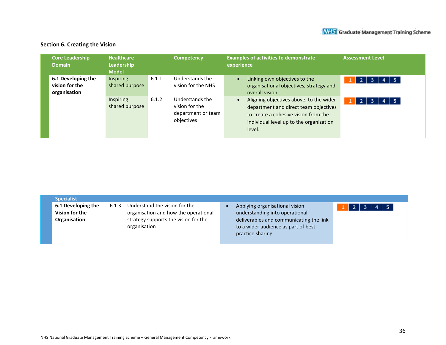### **Section 6. Creating the Vision**

| <b>Core Leadership</b><br><b>Domain</b>              | <b>Healthcare</b><br><b>Leadership</b><br><b>Model</b> |       | <b>Competency</b>                                                     | <b>Examples of activities to demonstrate</b><br>experience                                                                                                                    | <b>Assessment Level</b>  |  |
|------------------------------------------------------|--------------------------------------------------------|-------|-----------------------------------------------------------------------|-------------------------------------------------------------------------------------------------------------------------------------------------------------------------------|--------------------------|--|
| 6.1 Developing the<br>vision for the<br>organisation | Inspiring<br>shared purpose                            | 6.1.1 | Understands the<br>vision for the NHS                                 | Linking own objectives to the<br>organisational objectives, strategy and<br>overall vision.                                                                                   | $4 \mid 5$<br>-2 I<br>-3 |  |
|                                                      | Inspiring<br>shared purpose                            | 6.1.2 | Understands the<br>vision for the<br>department or team<br>objectives | Aligning objectives above, to the wider<br>department and direct team objectives<br>to create a cohesive vision from the<br>individual level up to the organization<br>level. | - 5<br>4                 |  |

| Specialist                                           |       |                                                                                                                               |                                                                                                                                                                         |                                 |  |
|------------------------------------------------------|-------|-------------------------------------------------------------------------------------------------------------------------------|-------------------------------------------------------------------------------------------------------------------------------------------------------------------------|---------------------------------|--|
| 6.1 Developing the<br>Vision for the<br>Organisation | 6.1.3 | Understand the vision for the<br>organisation and how the operational<br>strategy supports the vision for the<br>organisation | Applying organisational vision<br>understanding into operational<br>deliverables and communicating the link<br>to a wider audience as part of best<br>practice sharing. | $1 \mid 2 \mid 3 \mid 4 \mid 5$ |  |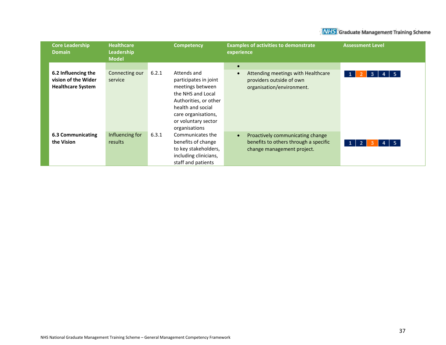| <b>Core Leadership</b><br><b>Domain</b>                                | <b>Healthcare</b><br>Leadership<br><b>Model</b> | <b>Competency</b>                                                                                                                                                                  | <b>Examples of activities to demonstrate</b><br>experience                                               | <b>Assessment Level</b> |
|------------------------------------------------------------------------|-------------------------------------------------|------------------------------------------------------------------------------------------------------------------------------------------------------------------------------------|----------------------------------------------------------------------------------------------------------|-------------------------|
| 6.2 Influencing the<br>vision of the Wider<br><b>Healthcare System</b> | Connecting our<br>service                       | 6.2.1<br>Attends and<br>participates in joint<br>meetings between<br>the NHS and Local<br>Authorities, or other<br>health and social<br>care organisations,<br>or voluntary sector | $\bullet$<br>Attending meetings with Healthcare<br>providers outside of own<br>organisation/environment. | - 5<br>з                |
| 6.3 Communicating<br>the Vision                                        | Influencing for<br>results                      | organisations<br>6.3.1<br>Communicates the<br>benefits of change<br>to key stakeholders,<br>including clinicians,<br>staff and patients                                            | Proactively communicating change<br>benefits to others through a specific<br>change management project.  | - 5<br>$\overline{2}$   |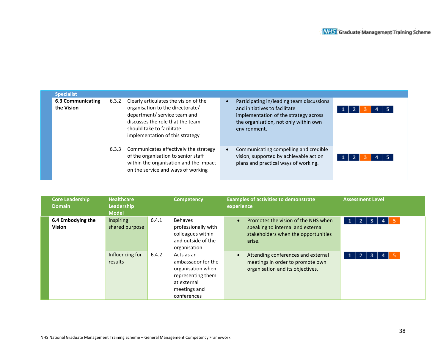| <b>Specialist</b>                      |       |                                                                                                                                                                                                               |                                                                                                                                                                              |  |
|----------------------------------------|-------|---------------------------------------------------------------------------------------------------------------------------------------------------------------------------------------------------------------|------------------------------------------------------------------------------------------------------------------------------------------------------------------------------|--|
| <b>6.3 Communicating</b><br>the Vision | 6.3.2 | Clearly articulates the vision of the<br>organisation to the directorate/<br>department/ service team and<br>discusses the role that the team<br>should take to facilitate<br>implementation of this strategy | Participating in/leading team discussions<br>and initiatives to facilitate<br>implementation of the strategy across<br>the organisation, not only within own<br>environment. |  |
|                                        | 6.3.3 | Communicates effectively the strategy<br>of the organisation to senior staff<br>within the organisation and the impact<br>on the service and ways of working                                                  | Communicating compelling and credible<br>vision, supported by achievable action<br>plans and practical ways of working.                                                      |  |

| <b>Core Leadership</b><br><b>Domain</b> | <b>Healthcare</b><br>Leadership<br><b>Model</b> |       | <b>Competency</b>                                                                                                        | <b>Examples of activities to demonstrate</b><br><b>Assessment Level</b><br>experience                                                                                                  |
|-----------------------------------------|-------------------------------------------------|-------|--------------------------------------------------------------------------------------------------------------------------|----------------------------------------------------------------------------------------------------------------------------------------------------------------------------------------|
| 6.4 Embodying the<br>Vision             | Inspiring<br>shared purpose                     | 6.4.1 | Behaves<br>professionally with<br>colleagues within<br>and outside of the<br>organisation                                | Promotes the vision of the NHS when<br>$\vert$ 1<br>3<br>$\overline{2}$<br>- 5<br>4<br>$\bullet$<br>speaking to internal and external<br>stakeholders when the opportunities<br>arise. |
|                                         | Influencing for<br>results                      | 6.4.2 | Acts as an<br>ambassador for the<br>organisation when<br>representing them<br>at external<br>meetings and<br>conferences | Attending conferences and external<br>$\overline{2}$<br>3<br>$\mathbf{1}$<br>meetings in order to promote own<br>organisation and its objectives.                                      |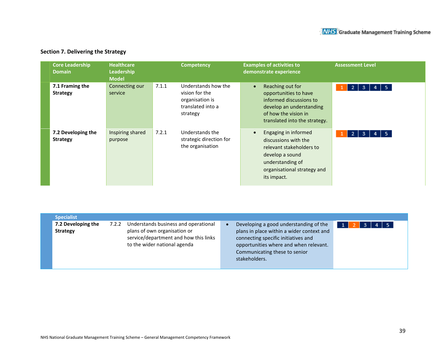## **Section 7. Delivering the Strategy**

| <b>Core Leadership</b><br><b>Domain</b> | <b>Healthcare</b><br>Leadership<br><b>Model</b> |       | <b>Competency</b>                                                                         | <b>Examples of activities to</b><br>demonstrate experience                                                                                                                 | <b>Assessment Level</b>   |
|-----------------------------------------|-------------------------------------------------|-------|-------------------------------------------------------------------------------------------|----------------------------------------------------------------------------------------------------------------------------------------------------------------------------|---------------------------|
| 7.1 Framing the<br><b>Strategy</b>      | Connecting our<br>service                       | 7.1.1 | Understands how the<br>vision for the<br>organisation is<br>translated into a<br>strategy | Reaching out for<br>$\bullet$<br>opportunities to have<br>informed discussions to<br>develop an understanding<br>of how the vision in<br>translated into the strategy.     | 5.<br>$\overline{2}$<br>3 |
| 7.2 Developing the<br><b>Strategy</b>   | Inspiring shared<br>purpose                     | 7.2.1 | Understands the<br>strategic direction for<br>the organisation                            | Engaging in informed<br>$\bullet$<br>discussions with the<br>relevant stakeholders to<br>develop a sound<br>understanding of<br>organisational strategy and<br>its impact. | 5<br>2<br>3               |

| <b>Specialist</b>  |       |                                       |                                           |            |  |
|--------------------|-------|---------------------------------------|-------------------------------------------|------------|--|
| 7.2 Developing the | 7.2.2 | Understands business and operational  | Developing a good understanding of the    | $4 \mid 5$ |  |
| <b>Strategy</b>    |       | plans of own organisation or          | plans in place within a wider context and |            |  |
|                    |       | service/department and how this links | connecting specific initiatives and       |            |  |
|                    |       | to the wider national agenda          | opportunities where and when relevant.    |            |  |
|                    |       |                                       | Communicating these to senior             |            |  |
|                    |       |                                       | stakeholders.                             |            |  |
|                    |       |                                       |                                           |            |  |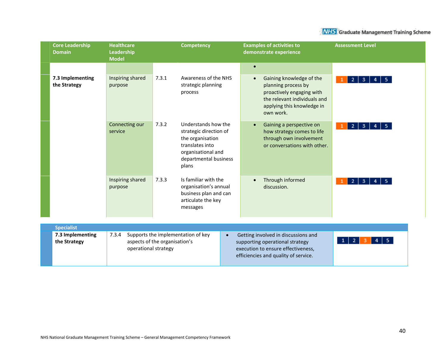

| <b>Core Leadership</b><br><b>Domain</b>               | <b>Healthcare</b><br>Leadership<br><b>Model</b> | <b>Competency</b>                                                                                                                                     | <b>Examples of activities to</b><br>demonstrate experience                                                                                                                        | <b>Assessment Level</b>                          |
|-------------------------------------------------------|-------------------------------------------------|-------------------------------------------------------------------------------------------------------------------------------------------------------|-----------------------------------------------------------------------------------------------------------------------------------------------------------------------------------|--------------------------------------------------|
| 7.3 Implementing<br>the Strategy                      | Inspiring shared<br>purpose                     | 7.3.1<br>Awareness of the NHS<br>strategic planning<br>process                                                                                        | $\bullet$<br>Gaining knowledge of the<br>$\bullet$<br>planning process by<br>proactively engaging with<br>the relevant individuals and<br>applying this knowledge in<br>own work. | $3 \mid 4 \mid$<br>2 <sub>1</sub><br>-5.         |
|                                                       | Connecting our<br>service                       | 7.3.2<br>Understands how the<br>strategic direction of<br>the organisation<br>translates into<br>organisational and<br>departmental business<br>plans | Gaining a perspective on<br>$\bullet$<br>how strategy comes to life<br>through own involvement<br>or conversations with other.                                                    | $\mathbf{3}$<br>$\mathbf{2}$<br>5.               |
|                                                       | Inspiring shared<br>purpose                     | Is familiar with the<br>7.3.3<br>organisation's annual<br>business plan and can<br>articulate the key<br>messages                                     | Through informed<br>discussion.                                                                                                                                                   | $\overline{2}$<br>$\mathbf{3}$<br>$\overline{4}$ |
| <b>Specialist</b><br>7.3 Implementing<br>the Strategy | 7.3.4<br>operational strategy                   | Supports the implementation of key<br>aspects of the organisation's                                                                                   | Getting involved in discussions and<br>$\bullet$<br>supporting operational strategy<br>execution to ensure effectiveness,<br>efficiencies and quality of service.                 | -2                                               |